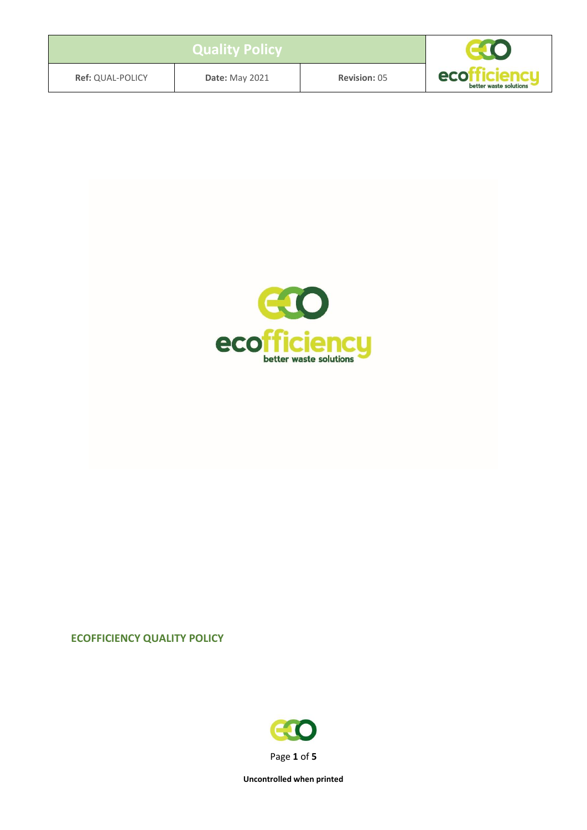| <b>Ref: QUAL-POLICY</b> | <b>Date: May 2021</b> | <b>Revision: 05</b> | ecott<br>denau<br>better waste solutions |
|-------------------------|-----------------------|---------------------|------------------------------------------|



#### **ECOFFICIENCY QUALITY POLICY**

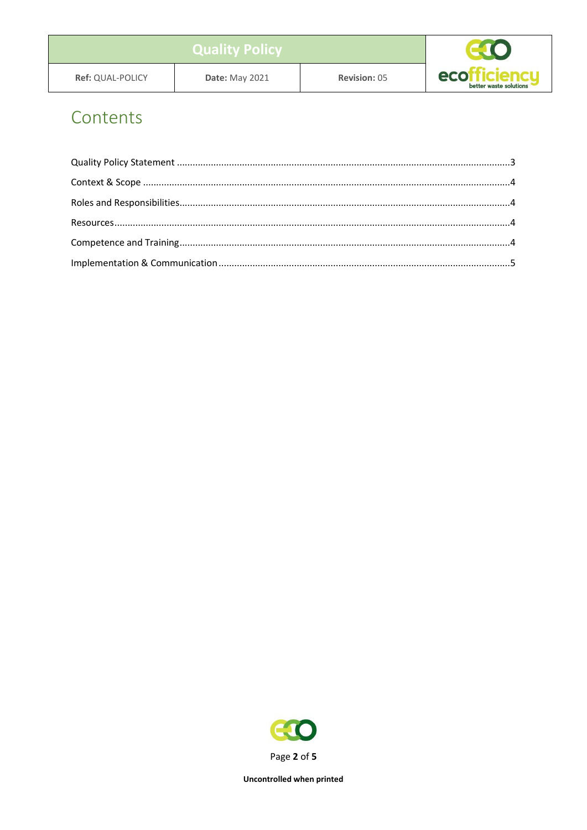| <b>Ref: QUAL-POLICY</b> | <b>Date: May 2021</b> | <b>Revision: 05</b> | eco <sup>r</sup><br>ruenci.<br>better waste solutions |
|-------------------------|-----------------------|---------------------|-------------------------------------------------------|

### Contents

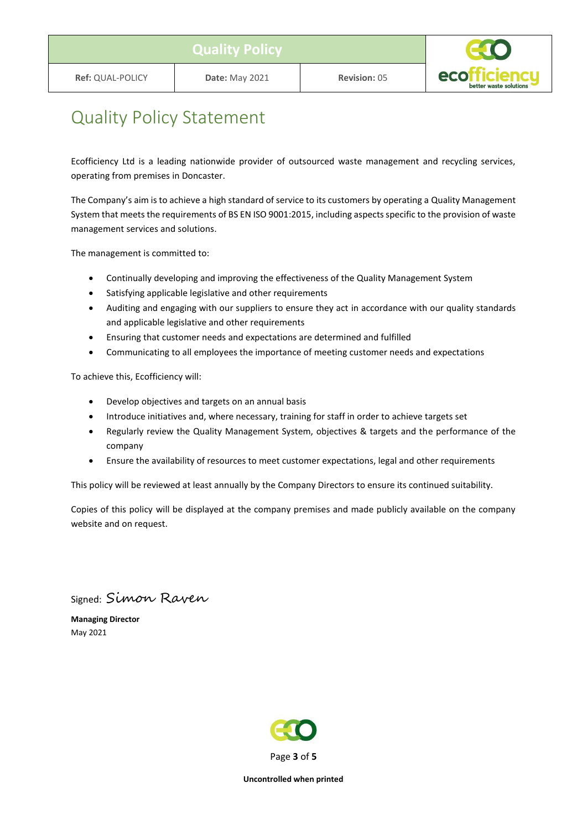

### <span id="page-2-0"></span>Quality Policy Statement

Ecofficiency Ltd is a leading nationwide provider of outsourced waste management and recycling services, operating from premises in Doncaster.

The Company's aim is to achieve a high standard of service to its customers by operating a Quality Management System that meets the requirements of BS EN ISO 9001:2015, including aspects specific to the provision of waste management services and solutions.

The management is committed to:

- Continually developing and improving the effectiveness of the Quality Management System
- Satisfying applicable legislative and other requirements
- Auditing and engaging with our suppliers to ensure they act in accordance with our quality standards and applicable legislative and other requirements
- Ensuring that customer needs and expectations are determined and fulfilled
- Communicating to all employees the importance of meeting customer needs and expectations

To achieve this, Ecofficiency will:

- Develop objectives and targets on an annual basis
- Introduce initiatives and, where necessary, training for staff in order to achieve targets set
- Regularly review the Quality Management System, objectives & targets and the performance of the company
- Ensure the availability of resources to meet customer expectations, legal and other requirements

This policy will be reviewed at least annually by the Company Directors to ensure its continued suitability.

Copies of this policy will be displayed at the company premises and made publicly available on the company website and on request.

Signed: Simon Raven

**Managing Director** May 2021

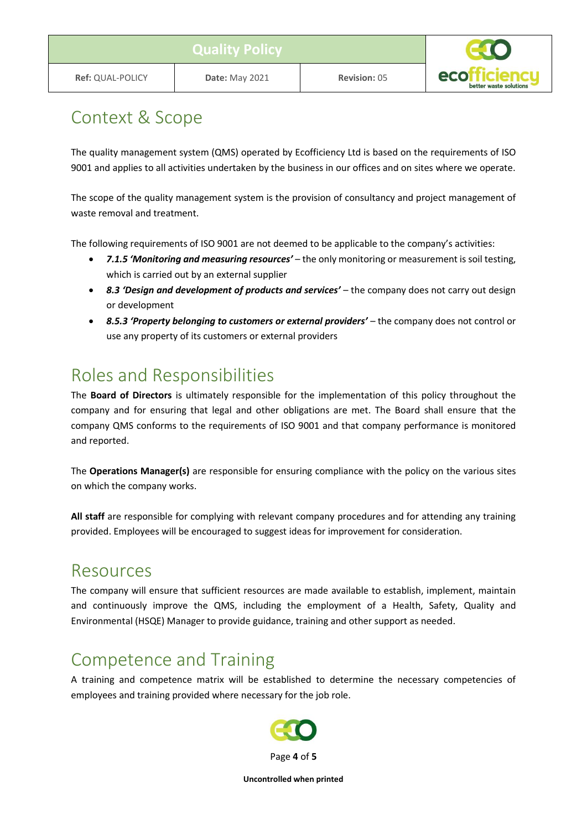# <span id="page-3-0"></span>Context & Scope

The quality management system (QMS) operated by Ecofficiency Ltd is based on the requirements of ISO 9001 and applies to all activities undertaken by the business in our offices and on sites where we operate.

The scope of the quality management system is the provision of consultancy and project management of waste removal and treatment.

The following requirements of ISO 9001 are not deemed to be applicable to the company's activities:

- *7.1.5 'Monitoring and measuring resources'* the only monitoring or measurement is soil testing, which is carried out by an external supplier
- *8.3 'Design and development of products and services'* the company does not carry out design or development
- *8.5.3 'Property belonging to customers or external providers'* the company does not control or use any property of its customers or external providers

## <span id="page-3-1"></span>Roles and Responsibilities

The **Board of Directors** is ultimately responsible for the implementation of this policy throughout the company and for ensuring that legal and other obligations are met. The Board shall ensure that the company QMS conforms to the requirements of ISO 9001 and that company performance is monitored and reported.

The **Operations Manager(s)** are responsible for ensuring compliance with the policy on the various sites on which the company works.

**All staff** are responsible for complying with relevant company procedures and for attending any training provided. Employees will be encouraged to suggest ideas for improvement for consideration.

#### <span id="page-3-2"></span>Resources

The company will ensure that sufficient resources are made available to establish, implement, maintain and continuously improve the QMS, including the employment of a Health, Safety, Quality and Environmental (HSQE) Manager to provide guidance, training and other support as needed.

# <span id="page-3-3"></span>Competence and Training

A training and competence matrix will be established to determine the necessary competencies of employees and training provided where necessary for the job role.